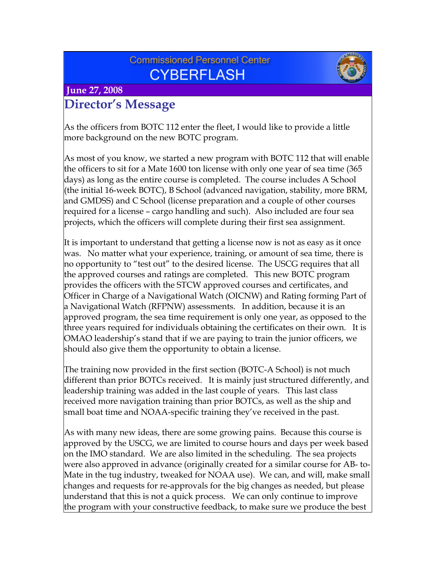# **Commissioned Personnel Center CYBERFLASH**



 **June 27, 2008**

# **Director's Message**

As the officers from BOTC 112 enter the fleet, I would like to provide a little more background on the new BOTC program.

As most of you know, we started a new program with BOTC 112 that will enable the officers to sit for a Mate 1600 ton license with only one year of sea time (365 days) as long as the entire course is completed. The course includes A School (the initial 16-week BOTC), B School (advanced navigation, stability, more BRM, and GMDSS) and C School (license preparation and a couple of other courses required for a license – cargo handling and such). Also included are four sea projects, which the officers will complete during their first sea assignment.

It is important to understand that getting a license now is not as easy as it once was. No matter what your experience, training, or amount of sea time, there is no opportunity to "test out" to the desired license. The USCG requires that all the approved courses and ratings are completed. This new BOTC program provides the officers with the STCW approved courses and certificates, and Officer in Charge of a Navigational Watch (OICNW) and Rating forming Part of a Navigational Watch (RFPNW) assessments. In addition, because it is an approved program, the sea time requirement is only one year, as opposed to the three years required for individuals obtaining the certificates on their own. It is OMAO leadership's stand that if we are paying to train the junior officers, we should also give them the opportunity to obtain a license.

The training now provided in the first section (BOTC-A School) is not much different than prior BOTCs received. It is mainly just structured differently, and leadership training was added in the last couple of years. This last class received more navigation training than prior BOTCs, as well as the ship and small boat time and NOAA-specific training they've received in the past.

As with many new ideas, there are some growing pains. Because this course is approved by the USCG, we are limited to course hours and days per week based on the IMO standard. We are also limited in the scheduling. The sea projects were also approved in advance (originally created for a similar course for AB- to-Mate in the tug industry, tweaked for NOAA use). We can, and will, make small changes and requests for re-approvals for the big changes as needed, but please understand that this is not a quick process. We can only continue to improve the program with your constructive feedback, to make sure we produce the best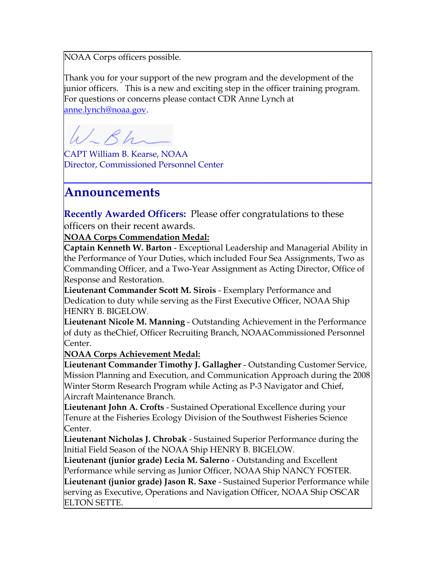NOAA Corps officers possible.

Thank you for your support of the new program and the development of the junior officers. This is a new and exciting step in the officer training program. For questions or concerns please contact CDR Anne Lynch at [anne.lynch@noaa.gov.](mailto:anne.lynch@noaa.gov)

 $SK$ 

CAPT William B. Kearse, NOAA Director, Commissioned Personnel Center

## **Announcements**

**Recently Awarded Officers:** Please offer congratulations to these officers on their recent awards.

**NOAA Corps Commendation Medal:**

**Captain Kenneth W. Barton** - Exceptional Leadership and Managerial Ability in the Performance of Your Duties, which included Four Sea Assignments, Two as Commanding Officer, and a Two-Year Assignment as Acting Director, Office of Response and Restoration.

**\_\_\_\_\_\_\_\_\_\_\_\_\_\_\_\_\_\_\_\_\_\_\_\_\_\_\_\_\_\_\_\_\_\_\_\_\_\_\_\_\_\_\_\_\_\_\_\_**

**Lieutenant Commander Scott M. Sirois** - Exemplary Performance and Dedication to duty while serving as the First Executive Officer, NOAA Ship HENRY B. BIGELOW.

**Lieutenant Nicole M. Manning** - Outstanding Achievement in the Performance of duty as theChief, Officer Recruiting Branch, NOAACommissioned Personnel Center.

**NOAA Corps Achievement Medal:**

**Lieutenant Commander Timothy J. Gallagher** - Outstanding Customer Service, Mission Planning and Execution, and Communication Approach during the 2008 Winter Storm Research Program while Acting as P-3 Navigator and Chief, Aircraft Maintenance Branch.

**Lieutenant John A. Crofts** - Sustained Operational Excellence during your Tenure at the Fisheries Ecology Division of the Southwest Fisheries Science Center.

**Lieutenant Nicholas J. Chrobak** - Sustained Superior Performance during the Initial Field Season of the NOAA Ship HENRY B. BIGELOW.

**Lieutenant (junior grade) Lecia M. Salerno** - Outstanding and Excellent Performance while serving as Junior Officer, NOAA Ship NANCY FOSTER.

**Lieutenant (junior grade) Jason R. Saxe** - Sustained Superior Performance while serving as Executive, Operations and Navigation Officer, NOAA Ship OSCAR ELTON SETTE.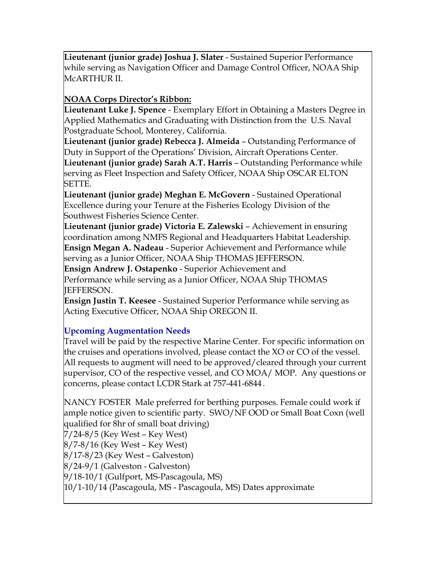**Lieutenant (junior grade) Joshua J. Slater** - Sustained Superior Performance while serving as Navigation Officer and Damage Control Officer, NOAA Ship McARTHUR II.

### **NOAA Corps Director's Ribbon:**

**Lieutenant Luke J. Spence** - Exemplary Effort in Obtaining a Masters Degree in Applied Mathematics and Graduating with Distinction from the U.S. Naval Postgraduate School, Monterey, California.

**Lieutenant (junior grade) Rebecca J. Almeida** – Outstanding Performance of Duty in Support of the Operations' Division, Aircraft Operations Center. **Lieutenant (junior grade) Sarah A.T. Harris** – Outstanding Performance while serving as Fleet Inspection and Safety Officer, NOAA Ship OSCAR ELTON SETTE.

**Lieutenant (junior grade) Meghan E. McGovern** - Sustained Operational Excellence during your Tenure at the Fisheries Ecology Division of the Southwest Fisheries Science Center.

**Lieutenant (junior grade) Victoria E. Zalewski** – Achievement in ensuring coordination among NMFS Regional and Headquarters Habitat Leadership. **Ensign Megan A. Nadeau** - Superior Achievement and Performance while serving as a Junior Officer, NOAA Ship THOMAS JEFFERSON.

**Ensign Andrew J. Ostapenko** - Superior Achievement and

Performance while serving as a Junior Officer, NOAA Ship THOMAS JEFFERSON.

**Ensign Justin T. Keesee** - Sustained Superior Performance while serving as Acting Executive Officer, NOAA Ship OREGON II.

### **Upcoming Augmentation Needs**

Travel will be paid by the respective Marine Center. For specific information on the cruises and operations involved, please contact the XO or CO of the vessel. All requests to augment will need to be approved/cleared through your current supervisor, CO of the respective vessel, and CO MOA/ MOP. Any questions or concerns, please contact LCDR Stark at 757-441-6844.

NANCY FOSTER Male preferred for berthing purposes. Female could work if ample notice given to scientific party. SWO/NF OOD or Small Boat Coxn (well qualified for 8hr of small boat driving)

7/24-8/5 (Key West – Key West) 8/7-8/16 (Key West – Key West) 8/17-8/23 (Key West – Galveston) 8/24-9/1 (Galveston - Galveston) 9/18-10/1 (Gulfport, MS-Pascagoula, MS) 10/1-10/14 (Pascagoula, MS - Pascagoula, MS) Dates approximate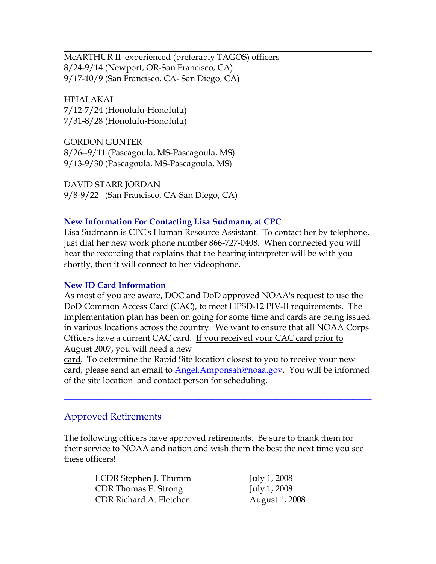McARTHUR II experienced (preferably TAGOS) officers 8/24-9/14 (Newport, OR-San Francisco, CA) 9/17-10/9 (San Francisco, CA- San Diego, CA)

HI'IALAKAI 7/12-7/24 (Honolulu-Honolulu) 7/31-8/28 (Honolulu-Honolulu)

GORDON GUNTER 8/26--9/11 (Pascagoula, MS-Pascagoula, MS) 9/13-9/30 (Pascagoula, MS-Pascagoula, MS)

DAVID STARR JORDAN 9/8-9/22 (San Francisco, CA-San Diego, CA)

#### **New Information For Contacting Lisa Sudmann, at CPC**

Lisa Sudmann is CPC's Human Resource Assistant. To contact her by telephone, just dial her new work phone number 866-727-0408. When connected you will hear the recording that explains that the hearing interpreter will be with you shortly, then it will connect to her videophone.

#### **New ID Card Information**

As most of you are aware, DOC and DoD approved NOAA's request to use the DoD Common Access Card (CAC), to meet HPSD-12 PIV-II requirements. The implementation plan has been on going for some time and cards are being issued in various locations across the country. We want to ensure that all NOAA Corps Officers have a current CAC card. If you received your CAC card prior to August 2007, you will need a new

card. To determine the Rapid Site location closest to you to receive your new card, please send an email to [Ange](mailto:Angel.Amponsah@noaa.gov)l.Amponsah@noaa[.g](mailto:Angel.Amponsah@noaa.gov)ov. You will be informed [of the site location and contact person for scheduling.](mailto:Angel.Amponsah@noaa.gov)

**[\\_\\_\\_\\_\\_\\_\\_\\_\\_\\_\\_\\_\\_\\_\\_\\_\\_\\_\\_\\_\\_\\_\\_\\_\\_\\_\\_\\_\\_\\_\\_\\_\\_\\_\\_\\_\\_\\_\\_\\_\\_\\_\\_\\_\\_\\_\\_\\_](mailto:Angel.Amponsah@noaa.gov)**

### Approved Retirements

The following officers have approved retirements. Be sure to thank them for their service to NOAA and nation and wish them the best the next time you see these officers!

| LCDR Stephen J. Thumm   | July 1, 2008   |
|-------------------------|----------------|
| CDR Thomas E. Strong    | July 1, 2008   |
| CDR Richard A. Fletcher | August 1, 2008 |